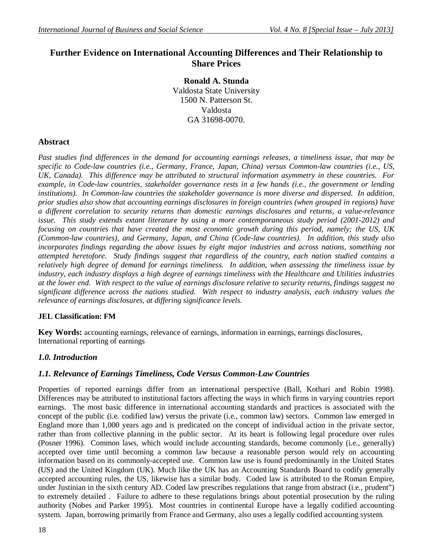# **Further Evidence on International Accounting Differences and Their Relationship to Share Prices**

**Ronald A. Stunda** Valdosta State University 1500 N. Patterson St. Valdosta GA 31698-0070.

# **Abstract**

*Past studies find differences in the demand for accounting earnings releases, a timeliness issue, that may be specific to Code-law countries (i.e., Germany, France, Japan, China) versus Common-law countries (i.e., US, UK, Canada). This difference may be attributed to structural information asymmetry in these countries. For example, in Code-law countries, stakeholder governance rests in a few hands (i.e., the government or lending institutions). In Common-law countries the stakeholder governance is more diverse and dispersed. In addition, prior studies also show that accounting earnings disclosures in foreign countries (when grouped in regions) have a different correlation to security returns than domestic earnings disclosures and returns, a value-relevance issue. This study extends extant literature by using a more contemporaneous study period (2001-2012) and focusing on countries that have created the most economic growth during this period, namely; the US, UK (Common-law countries), and Germany, Japan, and China (Code-law countries). In addition, this study also incorporates findings regarding the above issues by eight major industries and across nations, something not attempted heretofore. Study findings suggest that regardless of the country, each nation studied contains a relatively high degree of demand for earnings timeliness. In addition, when assessing the timeliness issue by industry, each industry displays a high degree of earnings timeliness with the Healthcare and Utilities industries at the lower end. With respect to the value of earnings disclosure relative to security returns, findings suggest no significant difference across the nations studied. With respect to industry analysis, each industry values the relevance of earnings disclosures, at differing significance levels.*

# **JEL Classification: FM**

**Key Words:** accounting earnings, relevance of earnings, information in earnings, earnings disclosures, International reporting of earnings

# *1.0. Introduction*

# *1.1. Relevance of Earnings Timeliness, Code Versus Common-Law Countries*

Properties of reported earnings differ from an international perspective (Ball, Kothari and Robin 1998). Differences may be attributed to institutional factors affecting the ways in which firms in varying countries report earnings. The most basic difference in international accounting standards and practices is associated with the concept of the public (i.e. codified law) versus the private (i.e., common law) sectors. Common law emerged in England more than 1,000 years ago and is predicated on the concept of individual action in the private sector, rather than from collective planning in the public sector. At its heart is following legal procedure over rules (Posner 1996). Common laws, which would include accounting standards, become commonly (i.e., generally) accepted over time until becoming a common law because a reasonable person would rely on accounting information based on its commonly-accepted use. Common law use is found predominantly in the United States (US) and the United Kingdom (UK). Much like the UK has an Accounting Standards Board to codify generally accepted accounting rules, the US, likewise has a similar body. Coded law is attributed to the Roman Empire, under Justinian in the sixth century AD. Coded law prescribes regulations that range from abstract (i.e., prudent") to extremely detailed . Failure to adhere to these regulations brings about potential prosecution by the ruling authority (Nobes and Parker 1995). Most countries in continental Europe have a legally codified accounting system. Japan, borrowing primarily from France and Germany, also uses a legally codified accounting system.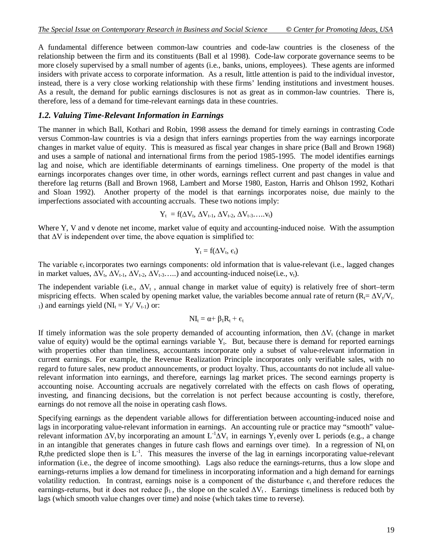A fundamental difference between common-law countries and code-law countries is the closeness of the relationship between the firm and its constituents (Ball et al 1998). Code-law corporate governance seems to be more closely supervised by a small number of agents (i.e., banks, unions, employees). These agents are informed insiders with private access to corporate information. As a result, little attention is paid to the individual investor, instead, there is a very close working relationship with these firms' lending institutions and investment houses. As a result, the demand for public earnings disclosures is not as great as in common-law countries. There is, therefore, less of a demand for time-relevant earnings data in these countries.

### *1.2. Valuing Time-Relevant Information in Earnings*

The manner in which Ball, Kothari and Robin, 1998 assess the demand for timely earnings in contrasting Code versus Common-law countries is via a design that infers earnings properties from the way earnings incorporate changes in market value of equity. This is measured as fiscal year changes in share price (Ball and Brown 1968) and uses a sample of national and international firms from the period 1985-1995. The model identifies earnings lag and noise, which are identifiable determinants of earnings timeliness. One property of the model is that earnings incorporates changes over time, in other words, earnings reflect current and past changes in value and therefore lag returns (Ball and Brown 1968, Lambert and Morse 1980, Easton, Harris and Ohlson 1992, Kothari and Sloan 1992). Another property of the model is that earnings incorporates noise, due mainly to the imperfections associated with accounting accruals. These two notions imply:

$$
Y_t\ = f(\Delta V_t,\,\Delta V_{t\text{-}1},\,\Delta V_{t\text{-}2},\,\Delta V_{t\text{-}3}.\ldots\!,\!v_t)
$$

Where Y, V and v denote net income, market value of equity and accounting-induced noise. With the assumption that  $\Delta V$  is independent over time, the above equation is simplified to:

$$
Y_t = f(\Delta V_t, \, \varepsilon_t)
$$

The variable  $\epsilon_t$  incorporates two earnings components: old information that is value-relevant (i.e., lagged changes in market values,  $\Delta V_t$ ,  $\Delta V_{t-1}$ ,  $\Delta V_{t-2}$ ,  $\Delta V_{t-3}$ , and accounting-induced noise(i.e.,  $v_t$ ).

The independent variable (i.e.,  $\Delta V_t$ , annual change in market value of equity) is relatively free of short–term mispricing effects. When scaled by opening market value, the variables become annual rate of return ( $R_1 = \Delta V_t/V_t$ . 1) and earnings yield ( $NI_t = Y_t / V_{t-1}$ ) or:

$$
NI_{t}=\alpha+\beta_{1}R_{t}+\varepsilon_{t}
$$

If timely information was the sole property demanded of accounting information, then  $\Delta V_t$  (change in market value of equity) would be the optimal earnings variable  $Y_t$ . But, because there is demand for reported earnings with properties other than timeliness, accountants incorporate only a subset of value-relevant information in current earnings. For example, the Revenue Realization Principle incorporates only verifiable sales, with no regard to future sales, new product announcements, or product loyalty. Thus, accountants do not include all valuerelevant information into earnings, and therefore, earnings lag market prices. The second earnings property is accounting noise. Accounting accruals are negatively correlated with the effects on cash flows of operating, investing, and financing decisions, but the correlation is not perfect because accounting is costly, therefore, earnings do not remove all the noise in operating cash flows.

Specifying earnings as the dependent variable allows for differentiation between accounting-induced noise and lags in incorporating value-relevant information in earnings. An accounting rule or practice may "smooth" valuerelevant information  $\Delta V_t$  by incorporating an amount  $L^{-1}\Delta V_t$  in earnings Y<sub>t</sub> evenly over L periods (e.g., a change in an intangible that generates changes in future cash flows and earnings over time). In a regression of NI<sub>t</sub> on  $R_t$ the predicted slope then is  $L^{-1}$ . This measures the inverse of the lag in earnings incorporating value-relevant information (i.e., the degree of income smoothing). Lags also reduce the earnings-returns, thus a low slope and earnings-returns implies a low demand for timeliness in incorporating information and a high demand for earnings volatility reduction. In contrast, earnings noise is a component of the disturbance  $\epsilon$ , and therefore reduces the earnings-returns, but it does not reduce  $\beta_1$ , the slope on the scaled  $\Delta V_t$ . Earnings timeliness is reduced both by lags (which smooth value changes over time) and noise (which takes time to reverse).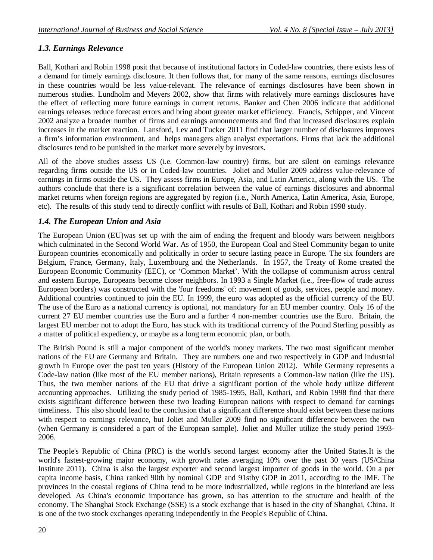## *1.3. Earnings Relevance*

Ball, Kothari and Robin 1998 posit that because of institutional factors in Coded-law countries, there exists less of a demand for timely earnings disclosure. It then follows that, for many of the same reasons, earnings disclosures in these countries would be less value-relevant. The relevance of earnings disclosures have been shown in numerous studies. Lundholm and Meyers 2002, show that firms with relatively more earnings disclosures have the effect of reflecting more future earnings in current returns. Banker and Chen 2006 indicate that additional earnings releases reduce forecast errors and bring about greater market efficiency. Francis, Schipper, and Vincent 2002 analyze a broader number of firms and earnings announcements and find that increased disclosures explain increases in the market reaction. Lansford, Lev and Tucker 2011 find that larger number of disclosures improves a firm's information environment, and helps managers align analyst expectations. Firms that lack the additional disclosures tend to be punished in the market more severely by investors.

All of the above studies assess US (i.e. Common-law country) firms, but are silent on earnings relevance regarding firms outside the US or in Coded-law countries. Joliet and Muller 2009 address value-relevance of earnings in firms outside the US. They assess firms in Europe, Asia, and Latin America, along with the US. The authors conclude that there is a significant correlation between the value of earnings disclosures and abnormal market returns when foreign regions are aggregated by region (i.e., North America, Latin America, Asia, Europe, etc). The results of this study tend to directly conflict with results of Ball, Kothari and Robin 1998 study.

### *1.4. The European Union and Asia*

The European Union (EU)was set up with the aim of ending the frequent and bloody wars between neighbors which culminated in the Second World War. As of 1950, the European Coal and Steel Community began to unite European countries economically and politically in order to secure lasting peace in Europe. The six founders are Belgium, France, Germany, Italy, Luxembourg and the Netherlands. In 1957, the Treaty of Rome created the European Economic Community (EEC), or 'Common Market'. With the collapse of communism across central and eastern Europe, Europeans become closer neighbors. In 1993 a Single Market (i.e., free-flow of trade across European borders) was constructed with the 'four freedoms' of: movement of goods, services, people and money. Additional countries continued to join the EU. In 1999, the euro was adopted as the official currency of the EU. The use of the Euro as a national currency is optional, not mandatory for an EU member country. Only 16 of the current 27 EU member countries use the Euro and a further 4 non-member countries use the Euro. Britain, the largest EU member not to adopt the Euro, has stuck with its traditional currency of the Pound Sterling possibly as a matter of political expediency, or maybe as a long term economic plan, or both.

The British Pound is still a major component of the world's money markets. The two most significant member nations of the EU are Germany and Britain. They are numbers one and two respectively in GDP and industrial growth in Europe over the past ten years (History of the European Union 2012). While Germany represents a Code-law nation (like most of the EU member nations), Britain represents a Common-law nation (like the US). Thus, the two member nations of the EU that drive a significant portion of the whole body utilize different accounting approaches. Utilizing the study period of 1985-1995, Ball, Kothari, and Robin 1998 find that there exists significant difference between these two leading European nations with respect to demand for earnings timeliness. This also should lead to the conclusion that a significant difference should exist between these nations with respect to earnings relevance, but Joliet and Muller 2009 find no significant difference between the two (when Germany is considered a part of the European sample). Joliet and Muller utilize the study period 1993- 2006.

The People's Republic of China (PRC) is the world's second largest economy after the United States.It is the world's fastest-growing major economy, with growth rates averaging 10% over the past 30 years (US/China Institute 2011). China is also the largest exporter and second largest importer of goods in the world. On a per capita income basis, China ranked 90th by nominal GDP and 91stby GDP in 2011, according to the IMF. The provinces in the coastal regions of China tend to be more industrialized, while regions in the hinterland are less developed. As China's economic importance has grown, so has attention to the structure and health of the economy. The Shanghai Stock Exchange (SSE) is a stock exchange that is based in the city of Shanghai, China. It is one of the two stock exchanges operating independently in the People's Republic of China.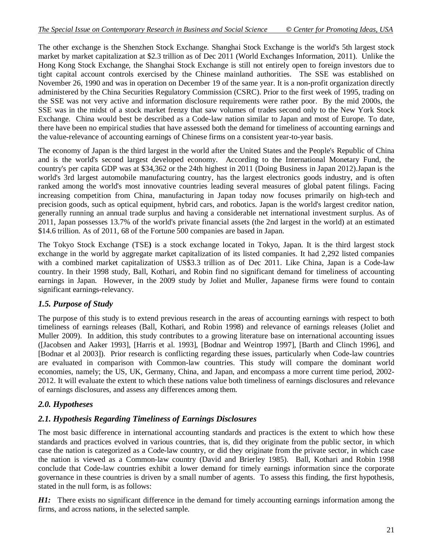The other exchange is the Shenzhen Stock Exchange. Shanghai Stock Exchange is the world's 5th largest stock market by market capitalization at \$2.3 trillion as of Dec 2011 (World Exchanges Information, 2011). Unlike the Hong Kong Stock Exchange, the Shanghai Stock Exchange is still not entirely open to foreign investors due to tight capital account controls exercised by the Chinese mainland authorities. The SSE was established on November 26, 1990 and was in operation on December 19 of the same year. It is a non-profit organization directly administered by the China Securities Regulatory Commission (CSRC). Prior to the first week of 1995, trading on the SSE was not very active and information disclosure requirements were rather poor. By the mid 2000s, the SSE was in the midst of a stock market frenzy that saw volumes of trades second only to the New York Stock Exchange. China would best be described as a Code-law nation similar to Japan and most of Europe. To date, there have been no empirical studies that have assessed both the demand for timeliness of accounting earnings and the value-relevance of accounting earnings of Chinese firms on a consistent year-to-year basis.

The economy of Japan is the third largest in the world after the United States and the People's Republic of China and is the world's second largest developed economy. According to the International Monetary Fund, the country's per capita GDP was at \$34,362 or the 24th highest in 2011 (Doing Business in Japan 2012).Japan is the world's 3rd largest automobile manufacturing country, has the largest electronics goods industry, and is often ranked among the world's most innovative countries leading several measures of global patent filings. Facing increasing competition from China, manufacturing in Japan today now focuses primarily on high-tech and precision goods, such as optical equipment, hybrid cars, and robotics. Japan is the world's largest creditor nation, generally running an annual trade surplus and having a considerable net international investment surplus. As of 2011, Japan possesses 13.7% of the world's private financial assets (the 2nd largest in the world) at an estimated \$14.6 trillion. As of 2011, 68 of the Fortune 500 companies are based in Japan.

The Tokyo Stock Exchange (TSE**)** is a stock exchange located in Tokyo, Japan. It is the third largest stock exchange in the world by aggregate market capitalization of its listed companies. It had 2,292 listed companies with a combined market capitalization of US\$3.3 trillion as of Dec 2011. Like China, Japan is a Code-law country. In their 1998 study, Ball, Kothari, and Robin find no significant demand for timeliness of accounting earnings in Japan. However, in the 2009 study by Joliet and Muller, Japanese firms were found to contain significant earnings-relevancy.

# *1.5. Purpose of Study*

The purpose of this study is to extend previous research in the areas of accounting earnings with respect to both timeliness of earnings releases (Ball, Kothari, and Robin 1998) and relevance of earnings releases (Joliet and Muller 2009). In addition, this study contributes to a growing literature base on international accounting issues ([Jacobsen and Aaker 1993], [Harris et al. 1993], [Bodnar and Weintrop 1997], [Barth and Clinch 1996], and [Bodnar et al 2003]). Prior research is conflicting regarding these issues, particularly when Code-law countries are evaluated in comparison with Common-law countries. This study will compare the dominant world economies, namely; the US, UK, Germany, China, and Japan, and encompass a more current time period, 2002- 2012. It will evaluate the extent to which these nations value both timeliness of earnings disclosures and relevance of earnings disclosures, and assess any differences among them.

# *2.0. Hypotheses*

# *2.1. Hypothesis Regarding Timeliness of Earnings Disclosures*

The most basic difference in international accounting standards and practices is the extent to which how these standards and practices evolved in various countries, that is, did they originate from the public sector, in which case the nation is categorized as a Code-law country, or did they originate from the private sector, in which case the nation is viewed as a Common-law country (David and Brierley 1985). Ball, Kothari and Robin 1998 conclude that Code-law countries exhibit a lower demand for timely earnings information since the corporate governance in these countries is driven by a small number of agents. To assess this finding, the first hypothesis, stated in the null form, is as follows:

*H1:* There exists no significant difference in the demand for timely accounting earnings information among the firms, and across nations, in the selected sample.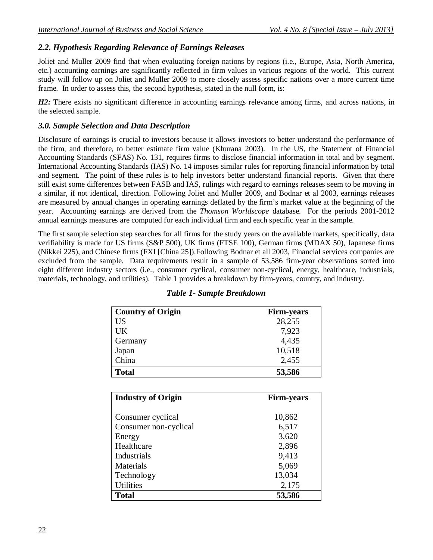## *2.2. Hypothesis Regarding Relevance of Earnings Releases*

Joliet and Muller 2009 find that when evaluating foreign nations by regions (i.e., Europe, Asia, North America, etc.) accounting earnings are significantly reflected in firm values in various regions of the world. This current study will follow up on Joliet and Muller 2009 to more closely assess specific nations over a more current time frame. In order to assess this, the second hypothesis, stated in the null form, is:

*H2*: There exists no significant difference in accounting earnings relevance among firms, and across nations, in the selected sample.

### *3.0. Sample Selection and Data Description*

Disclosure of earnings is crucial to investors because it allows investors to better understand the performance of the firm, and therefore, to better estimate firm value (Khurana 2003). In the US, the Statement of Financial Accounting Standards (SFAS) No. 131, requires firms to disclose financial information in total and by segment. International Accounting Standards (IAS) No. 14 imposes similar rules for reporting financial information by total and segment. The point of these rules is to help investors better understand financial reports. Given that there still exist some differences between FASB and IAS, rulings with regard to earnings releases seem to be moving in a similar, if not identical, direction. Following Joliet and Muller 2009, and Bodnar et al 2003, earnings releases are measured by annual changes in operating earnings deflated by the firm's market value at the beginning of the year. Accounting earnings are derived from the *Thomson Worldscope* database. For the periods 2001-2012 annual earnings measures are computed for each individual firm and each specific year in the sample.

The first sample selection step searches for all firms for the study years on the available markets, specifically, data verifiability is made for US firms (S&P 500), UK firms (FTSE 100), German firms (MDAX 50), Japanese firms (Nikkei 225), and Chinese firms (FXI [China 25]).Following Bodnar et all 2003, Financial services companies are excluded from the sample. Data requirements result in a sample of 53,586 firm-year observations sorted into eight different industry sectors (i.e., consumer cyclical, consumer non-cyclical, energy, healthcare, industrials, materials, technology, and utilities). Table 1 provides a breakdown by firm-years, country, and industry.

| <b>Country of Origin</b> | <b>Firm-years</b> |
|--------------------------|-------------------|
| <b>US</b>                | 28,255            |
| <b>UK</b>                | 7,923             |
| Germany                  | 4,435             |
| Japan                    | 10,518            |
| China                    | 2,455             |
| <b>Total</b>             | 53,586            |

### *Table 1- Sample Breakdown*

| <b>Industry of Origin</b> | <b>Firm-years</b> |
|---------------------------|-------------------|
|                           |                   |
| Consumer cyclical         | 10,862            |
| Consumer non-cyclical     | 6,517             |
| Energy                    | 3,620             |
| Healthcare                | 2,896             |
| Industrials               | 9,413             |
| Materials                 | 5,069             |
| Technology                | 13,034            |
| <b>Utilities</b>          | 2,175             |
| <b>Total</b>              | 53,586            |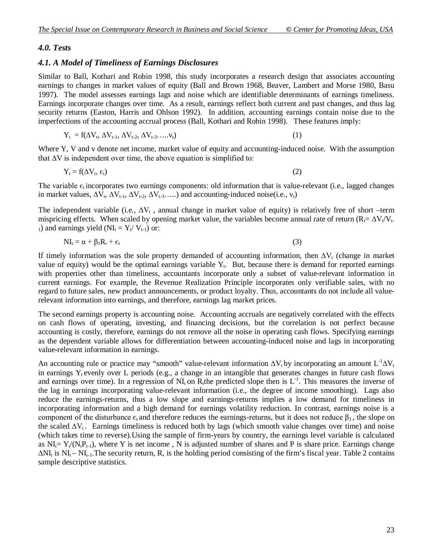## *4.0. Tests*

## *4.1. A Model of Timeliness of Earnings Disclosures*

Similar to Ball, Kothari and Robin 1998, this study incorporates a research design that associates accounting earnings to changes in market values of equity (Ball and Brown 1968, Beaver, Lambert and Morse 1980, Basu 1997). The model assesses earnings lags and noise which are identifiable determinants of earnings timeliness. Earnings incorporate changes over time. As a result, earnings reflect both current and past changes, and thus lag security returns (Easton, Harris and Ohlson 1992). In addition, accounting earnings contain noise due to the imperfections of the accounting accrual process (Ball, Kothari and Robin 1998). These features imply:

$$
Y_t = f(\Delta V_t, \Delta V_{t-1}, \Delta V_{t-2}, \Delta V_{t-3}, \dots, V_t)
$$
\n
$$
(1)
$$

Where Y, V and v denote net income, market value of equity and accounting-induced noise. With the assumption that  $\Delta V$  is independent over time, the above equation is simplified to:

$$
Y_t = f(\Delta V_t, \varepsilon_t) \tag{2}
$$

The variable  $\epsilon_t$  incorporates two earnings components: old information that is value-relevant (i.e., lagged changes in market values,  $\Delta V_t$ ,  $\Delta V_{t-1}$ ,  $\Delta V_{t-2}$ ,  $\Delta V_{t-3}$ ,....) and accounting-induced noise(i.e.,  $v_t$ )

The independent variable (i.e.,  $\Delta V_t$ , annual change in market value of equity) is relatively free of short –term mispricing effects. When scaled by opening market value, the variables become annual rate of return ( $R_1 = \Delta V_t/V_t$ . 1) and earnings yield ( $NI_t = Y_t / V_{t-1}$ ) or:

$$
NI_t = \alpha + \beta_1 R_t + \epsilon_t \tag{3}
$$

If timely information was the sole property demanded of accounting information, then  $\Delta V_t$  (change in market value of equity) would be the optimal earnings variable  $Y_t$ . But, because there is demand for reported earnings with properties other than timeliness, accountants incorporate only a subset of value-relevant information in current earnings. For example, the Revenue Realization Principle incorporates only verifiable sales, with no regard to future sales, new product announcements, or product loyalty. Thus, accountants do not include all valuerelevant information into earnings, and therefore, earnings lag market prices.

The second earnings property is accounting noise. Accounting accruals are negatively correlated with the effects on cash flows of operating, investing, and financing decisions, but the correlation is not perfect because accounting is costly, therefore, earnings do not remove all the noise in operating cash flows. Specifying earnings as the dependent variable allows for differentiation between accounting-induced noise and lags in incorporating value-relevant information in earnings.

An accounting rule or practice may "smooth" value-relevant information  $\Delta V_t$  by incorporating an amount  $L^{-1}\Delta V_t$ in earnings  $Y_t$  evenly over L periods (e.g., a change in an intangible that generates changes in future cash flows and earnings over time). In a regression of  $NI_t$  on  $R_t$ the predicted slope then is  $L^{-1}$ . This measures the inverse of the lag in earnings incorporating value-relevant information (i.e., the degree of income smoothing). Lags also reduce the earnings-returns, thus a low slope and earnings-returns implies a low demand for timeliness in incorporating information and a high demand for earnings volatility reduction. In contrast, earnings noise is a component of the disturbance  $\epsilon_t$  and therefore reduces the earnings-returns, but it does not reduce  $\beta_1$ , the slope on the scaled  $\Delta V_t$ . Earnings timeliness is reduced both by lags (which smooth value changes over time) and noise (which takes time to reverse).Using the sample of firm-years by country, the earnings level variable is calculated as  $NI<sub>i</sub> = Y<sub>t</sub>/(N<sub>t</sub>P<sub>t-1</sub>)$ , where Y is net income, N is adjusted number of shares and P is share price. Earnings change  $\Delta NI_t$  is  $NI_t - NI_{t-1}$ . The security return, R, is the holding period consisting of the firm's fiscal year. Table 2 contains sample descriptive statistics.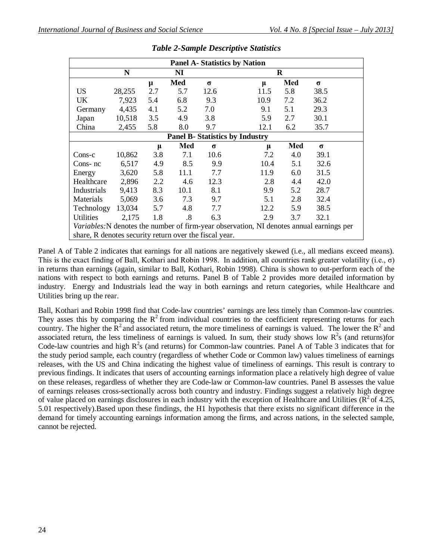| <b>Panel A- Statistics by Nation</b>                                                     |        |     |      |          |       |     |          |  |
|------------------------------------------------------------------------------------------|--------|-----|------|----------|-------|-----|----------|--|
| N<br>$\bf R$<br>NI                                                                       |        |     |      |          |       |     |          |  |
|                                                                                          |        | μ   | Med  | $\sigma$ | $\mu$ | Med | $\sigma$ |  |
| <b>US</b>                                                                                | 28,255 | 2.7 | 5.7  | 12.6     | 11.5  | 5.8 | 38.5     |  |
| <b>UK</b>                                                                                | 7,923  | 5.4 | 6.8  | 9.3      | 10.9  | 7.2 | 36.2     |  |
| Germany                                                                                  | 4,435  | 4.1 | 5.2  | 7.0      | 9.1   | 5.1 | 29.3     |  |
| Japan                                                                                    | 10,518 | 3.5 | 4.9  | 3.8      | 5.9   | 2.7 | 30.1     |  |
| China                                                                                    | 2,455  | 5.8 | 8.0  | 9.7      | 12.1  | 6.2 | 35.7     |  |
| <b>Panel B- Statistics by Industry</b>                                                   |        |     |      |          |       |     |          |  |
|                                                                                          |        | μ   | Med  | $\sigma$ | μ     | Med | $\sigma$ |  |
| Cons-c                                                                                   | 10,862 | 3.8 | 7.1  | 10.6     | 7.2   | 4.0 | 39.1     |  |
| Cons-nc                                                                                  | 6,517  | 4.9 | 8.5  | 9.9      | 10.4  | 5.1 | 32.6     |  |
| Energy                                                                                   | 3,620  | 5.8 | 11.1 | 7.7      | 11.9  | 6.0 | 31.5     |  |
| Healthcare                                                                               | 2,896  | 2.2 | 4.6  | 12.3     | 2.8   | 4.4 | 42.0     |  |
| Industrials                                                                              | 9,413  | 8.3 | 10.1 | 8.1      | 9.9   | 5.2 | 28.7     |  |
| Materials                                                                                | 5,069  | 3.6 | 7.3  | 9.7      | 5.1   | 2.8 | 32.4     |  |
| Technology                                                                               | 13,034 | 5.7 | 4.8  | 7.7      | 12.2  | 5.9 | 38.5     |  |
| <b>Utilities</b>                                                                         | 2,175  | 1.8 | .8   | 6.3      | 2.9   | 3.7 | 32.1     |  |
| Variables: N denotes the number of firm-year observation, NI denotes annual earnings per |        |     |      |          |       |     |          |  |
| share, R denotes security return over the fiscal year.                                   |        |     |      |          |       |     |          |  |

| <b>Table 2-Sample Descriptive Statistics</b> |  |  |  |  |
|----------------------------------------------|--|--|--|--|
|----------------------------------------------|--|--|--|--|

Panel A of Table 2 indicates that earnings for all nations are negatively skewed (i.e., all medians exceed means). This is the exact finding of Ball, Kothari and Robin 1998. In addition, all countries rank greater volatility (i.e.,  $\sigma$ ) in returns than earnings (again, similar to Ball, Kothari, Robin 1998). China is shown to out-perform each of the nations with respect to both earnings and returns. Panel B of Table 2 provides more detailed information by industry. Energy and Industrials lead the way in both earnings and return categories, while Healthcare and Utilities bring up the rear.

Ball, Kothari and Robin 1998 find that Code-law countries' earnings are less timely than Common-law countries. They asses this by comparing the  $R^2$  from individual countries to the coefficient representing returns for each country. The higher the  $\mathbb{R}^2$  and associated return, the more timeliness of earnings is valued. The lower the  $\mathbb{R}^2$  and associated return, the less timeliness of earnings is valued. In sum, their study shows low  $R^2$ s (and returns)for Code-law countries and high  $R^2$ s (and returns) for Common-law countries. Panel A of Table 3 indicates that for the study period sample, each country (regardless of whether Code or Common law) values timeliness of earnings releases, with the US and China indicating the highest value of timeliness of earnings. This result is contrary to previous findings. It indicates that users of accounting earnings information place a relatively high degree of value on these releases, regardless of whether they are Code-law or Common-law countries. Panel B assesses the value of earnings releases cross-sectionally across both country and industry. Findings suggest a relatively high degree of value placed on earnings disclosures in each industry with the exception of Healthcare and Utilities ( $\mathbb{R}^2$  of 4.25, 5.01 respectively).Based upon these findings, the H1 hypothesis that there exists no significant difference in the demand for timely accounting earnings information among the firms, and across nations, in the selected sample, cannot be rejected.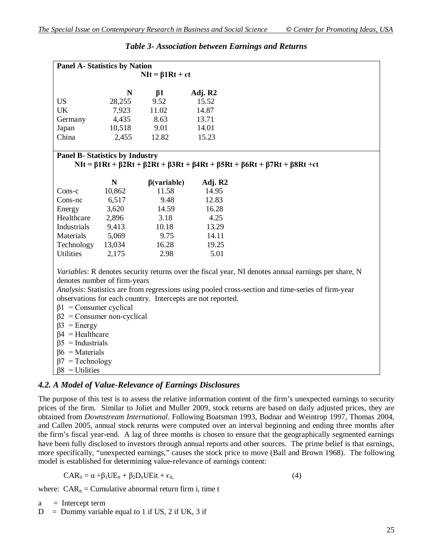| <b>Panel A- Statistics by Nation</b>   |           |                                                             |         |                                                                                                                                |  |  |  |
|----------------------------------------|-----------|-------------------------------------------------------------|---------|--------------------------------------------------------------------------------------------------------------------------------|--|--|--|
|                                        |           | $NIt = \beta 1Rt + \epsilon t$                              |         |                                                                                                                                |  |  |  |
|                                        | N         | $\beta$ 1                                                   | Adj. R2 |                                                                                                                                |  |  |  |
| <b>US</b>                              | 28,255    | 9.52                                                        | 15.52   |                                                                                                                                |  |  |  |
| <b>UK</b>                              | 7,923     | 11.02                                                       | 14.87   |                                                                                                                                |  |  |  |
| Germany                                | 4,435     | 8.63                                                        | 13.71   |                                                                                                                                |  |  |  |
| Japan                                  | 10,518    | 9.01                                                        | 14.01   |                                                                                                                                |  |  |  |
| China                                  | 2,455     | 12.82                                                       | 15.23   |                                                                                                                                |  |  |  |
| <b>Panel B- Statistics by Industry</b> |           |                                                             |         | $NIt = \beta 1Rt + \beta 2Rt + \beta 2Rt + \beta 3Rt + \beta 4Rt + \beta 5Rt + \beta 6Rt + \beta 7Rt + \beta 8Rt + \epsilon t$ |  |  |  |
|                                        | ${\bf N}$ | $\beta$ (variable)                                          | Adj. R2 |                                                                                                                                |  |  |  |
| Cons-c                                 | 10,862    | 11.58                                                       | 14.95   |                                                                                                                                |  |  |  |
| Cons-nc                                | 6,517     | 9.48                                                        | 12.83   |                                                                                                                                |  |  |  |
| Energy                                 | 3,620     | 14.59                                                       | 16.28   |                                                                                                                                |  |  |  |
| Healthcare                             | 2,896     | 3.18                                                        | 4.25    |                                                                                                                                |  |  |  |
| Industrials                            | 9,413     | 10.18                                                       | 13.29   |                                                                                                                                |  |  |  |
| Materials                              | 5,069     | 9.75                                                        | 14.11   |                                                                                                                                |  |  |  |
| Technology                             | 13,034    | 16.28                                                       | 19.25   |                                                                                                                                |  |  |  |
| <b>Utilities</b>                       | 2,175     | 2.98                                                        | 5.01    |                                                                                                                                |  |  |  |
|                                        |           |                                                             |         | Variables: R denotes security returns over the fiscal year, NI denotes annual earnings per share, N                            |  |  |  |
| denotes number of firm-years           |           |                                                             |         |                                                                                                                                |  |  |  |
|                                        |           |                                                             |         | Analysis: Statistics are from regressions using pooled cross-section and time-series of firm-year                              |  |  |  |
|                                        |           | observations for each country. Intercepts are not reported. |         |                                                                                                                                |  |  |  |
| $\beta$ 1 = Consumer cyclical          |           |                                                             |         |                                                                                                                                |  |  |  |
| $\beta$ 2 = Consumer non-cyclical      |           |                                                             |         |                                                                                                                                |  |  |  |
| $\beta$ 3 = Energy                     |           |                                                             |         |                                                                                                                                |  |  |  |
| $\beta$ 4 = Healthcare                 |           |                                                             |         |                                                                                                                                |  |  |  |
| $\beta$ 5 = Industrials                |           |                                                             |         |                                                                                                                                |  |  |  |
| $\beta$ 6 = Materials                  |           |                                                             |         |                                                                                                                                |  |  |  |
| $\beta$ 7 = Technology                 |           |                                                             |         |                                                                                                                                |  |  |  |
| $\beta$ 8 = Utilities                  |           |                                                             |         |                                                                                                                                |  |  |  |

## *Table 3- Association between Earnings and Returns*

### *4.2. A Model of Value-Relevance of Earnings Disclosures*

The purpose of this test is to assess the relative information content of the firm's unexpected earnings to security prices of the firm. Similar to Joliet and Muller 2009, stock returns are based on daily adjusted prices, they are obtained from *Downstream International*. Following Boatsman 1993, Bodnar and Weintrop 1997, Thomas 2004, and Callen 2005, annual stock returns were computed over an interval beginning and ending three months after the firm's fiscal year-end. A lag of three months is chosen to ensure that the geographically segmented earnings have been fully disclosed to investors through annual reports and other sources. The prime belief is that earnings, more specifically, "unexpected earnings," causes the stock price to move (Ball and Brown 1968). The following model is established for determining value-relevance of earnings content:

 $CAR_{it} = \alpha + \beta_1 UE_{it} + \beta_2 D_n UE_{it} + \epsilon_{it}$  (4)

where:  $CAR_{it} = Cumulative$  abnormal return firm i, time t

 $a =$  Intercept term

 $D =$  Dummy variable equal to 1 if US, 2 if UK, 3 if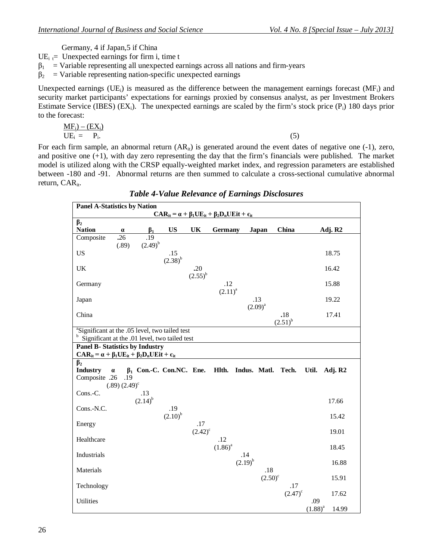Germany, 4 if Japan,5 if China

 $UE_i = Unexpected$  earnings for firm i, time t

 $\beta_1$  = Variable representing all unexpected earnings across all nations and firm-years

 $\beta$ <sub>2</sub> = Variable representing nation-specific unexpected earnings

Unexpected earnings (UE<sub>i</sub>) is measured as the difference between the management earnings forecast (MF<sub>i</sub>) and security market participants' expectations for earnings proxied by consensus analyst, as per Investment Brokers Estimate Service (IBES) (EX<sub>i</sub>). The unexpected earnings are scaled by the firm's stock price (P<sub>i</sub>) 180 days prior to the forecast:

$$
\underline{\mathbf{MF}}_{i} = \underline{\mathbf{F}}_{i}.
$$
\n
$$
\underline{\mathbf{UE}}_{i} = \underline{\mathbf{P}}_{i}.
$$
\n(5)

For each firm sample, an abnormal return  $(AR_{it})$  is generated around the event dates of negative one (-1), zero, and positive one (+1), with day zero representing the day that the firm's financials were published. The market model is utilized along with the CRSP equally-weighted market index, and regression parameters are established between -180 and -91. Abnormal returns are then summed to calculate a cross-sectional cumulative abnormal return, CAR<sub>it</sub>.

| <b>Panel A-Statistics by Nation</b>                                                                                   |                                          |                     |                                                                             |                     |                     |                     |                  |                     |              |                     |
|-----------------------------------------------------------------------------------------------------------------------|------------------------------------------|---------------------|-----------------------------------------------------------------------------|---------------------|---------------------|---------------------|------------------|---------------------|--------------|---------------------|
|                                                                                                                       |                                          |                     | $CAR_{it} = \alpha + \beta_1 UE_{it} + \beta_2 D_n UE_{it} + \epsilon_{it}$ |                     |                     |                     |                  |                     |              |                     |
| $\beta_2$<br><b>Nation</b>                                                                                            | $\alpha$                                 | $\beta_1$           | <b>US</b>                                                                   | UK                  | Germany             |                     | Japan            | China               |              | Adj. R <sub>2</sub> |
| Composite                                                                                                             | $\overline{.26}$<br>(.89)                | .19<br>$(2.49)^{b}$ |                                                                             |                     |                     |                     |                  |                     |              |                     |
| <b>US</b>                                                                                                             |                                          |                     | .15<br>$(2.38)^{b}$                                                         |                     |                     |                     |                  |                     |              | 18.75               |
| UK                                                                                                                    |                                          |                     |                                                                             | .20<br>$(2.55)^{b}$ |                     |                     |                  |                     |              | 16.42               |
| Germany                                                                                                               |                                          |                     |                                                                             |                     | .12<br>$(2.11)^{a}$ |                     |                  |                     |              | 15.88               |
| Japan                                                                                                                 |                                          |                     |                                                                             |                     |                     | .13<br>$(2.09)^{a}$ |                  |                     |              | 19.22               |
| China                                                                                                                 |                                          |                     |                                                                             |                     |                     |                     |                  | .18<br>$(2.51)^{b}$ |              | 17.41               |
| <sup>a</sup> Significant at the .05 level, two tailed test<br>Significant at the .01 level, two tailed test           |                                          |                     |                                                                             |                     |                     |                     |                  |                     |              |                     |
| <b>Panel B- Statistics by Industry</b><br>$CAR_{it} = \alpha + \beta_1 UE_{it} + \beta_2 D_n UE_{it} + \epsilon_{it}$ |                                          |                     |                                                                             |                     |                     |                     |                  |                     |              |                     |
| $\beta_2$<br><b>Industry</b><br>Composite .26                                                                         | $\alpha$<br>.19<br>$(.89)(2.49)^{\circ}$ |                     | $\beta_1$ Con.-C. Con.NC. Ene.                                              |                     | Hlth.               | Indus. Matl.        |                  | Tech.               | Util.        | Adj. R2             |
| Cons.-C.                                                                                                              |                                          | .13<br>$(2.14)^{b}$ |                                                                             |                     |                     |                     |                  |                     |              | 17.66               |
| Cons.-N.C.                                                                                                            |                                          |                     | .19<br>$(2.10)^{b}$                                                         |                     |                     |                     |                  |                     |              | 15.42               |
| Energy                                                                                                                |                                          |                     |                                                                             | .17<br>$(2.42)^{c}$ |                     |                     |                  |                     |              | 19.01               |
| Healthcare                                                                                                            |                                          |                     |                                                                             |                     | .12<br>$(1.86)^{a}$ |                     |                  |                     |              | 18.45               |
| Industrials                                                                                                           |                                          |                     |                                                                             |                     |                     | .14<br>$(2.19)^{b}$ |                  |                     |              | 16.88               |
| Materials                                                                                                             |                                          |                     |                                                                             |                     |                     |                     | .18              |                     |              |                     |
| Technology                                                                                                            |                                          |                     |                                                                             |                     |                     |                     | $(2.50)^{\circ}$ | .17                 |              | 15.91               |
| Utilities                                                                                                             |                                          |                     |                                                                             |                     |                     |                     |                  | $(2.47)^c$          | .09          | 17.62               |
|                                                                                                                       |                                          |                     |                                                                             |                     |                     |                     |                  |                     | $(1.88)^{a}$ | 14.99               |

*Table 4-Value Relevance of Earnings Disclosures*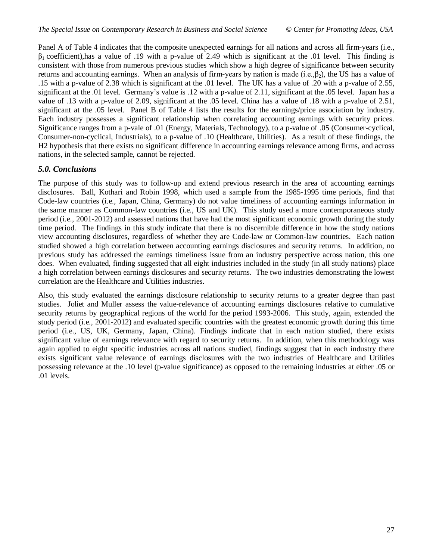Panel A of Table 4 indicates that the composite unexpected earnings for all nations and across all firm-years (i.e.,  $\beta_1$  coefficient),has a value of .19 with a p-value of 2.49 which is significant at the .01 level. This finding is consistent with those from numerous previous studies which show a high degree of significance between security returns and accounting earnings. When an analysis of firm-years by nation is made (i.e., $\beta_2$ ), the US has a value of .15 with a p-value of 2.38 which is significant at the .01 level. The UK has a value of .20 with a p-value of 2.55, significant at the .01 level. Germany's value is .12 with a p-value of 2.11, significant at the .05 level. Japan has a value of .13 with a p-value of 2.09, significant at the .05 level. China has a value of .18 with a p-value of 2.51, significant at the .05 level. Panel B of Table 4 lists the results for the earnings/price association by industry. Each industry possesses a significant relationship when correlating accounting earnings with security prices. Significance ranges from a p-vale of .01 (Energy, Materials, Technology), to a p-value of .05 (Consumer-cyclical, Consumer-non-cyclical, Industrials), to a p-value of .10 (Healthcare, Utilities). As a result of these findings, the H2 hypothesis that there exists no significant difference in accounting earnings relevance among firms, and across nations, in the selected sample, cannot be rejected.

## *5.0. Conclusions*

The purpose of this study was to follow-up and extend previous research in the area of accounting earnings disclosures. Ball, Kothari and Robin 1998, which used a sample from the 1985-1995 time periods, find that Code-law countries (i.e., Japan, China, Germany) do not value timeliness of accounting earnings information in the same manner as Common-law countries (i.e., US and UK). This study used a more contemporaneous study period (i.e., 2001-2012) and assessed nations that have had the most significant economic growth during the study time period. The findings in this study indicate that there is no discernible difference in how the study nations view accounting disclosures, regardless of whether they are Code-law or Common-law countries. Each nation studied showed a high correlation between accounting earnings disclosures and security returns. In addition, no previous study has addressed the earnings timeliness issue from an industry perspective across nation, this one does. When evaluated, finding suggested that all eight industries included in the study (in all study nations) place a high correlation between earnings disclosures and security returns. The two industries demonstrating the lowest correlation are the Healthcare and Utilities industries.

Also, this study evaluated the earnings disclosure relationship to security returns to a greater degree than past studies. Joliet and Muller assess the value-relevance of accounting earnings disclosures relative to cumulative security returns by geographical regions of the world for the period 1993-2006. This study, again, extended the study period (i.e., 2001-2012) and evaluated specific countries with the greatest economic growth during this time period (i.e., US, UK, Germany, Japan, China). Findings indicate that in each nation studied, there exists significant value of earnings relevance with regard to security returns. In addition, when this methodology was again applied to eight specific industries across all nations studied, findings suggest that in each industry there exists significant value relevance of earnings disclosures with the two industries of Healthcare and Utilities possessing relevance at the .10 level (p-value significance) as opposed to the remaining industries at either .05 or .01 levels.